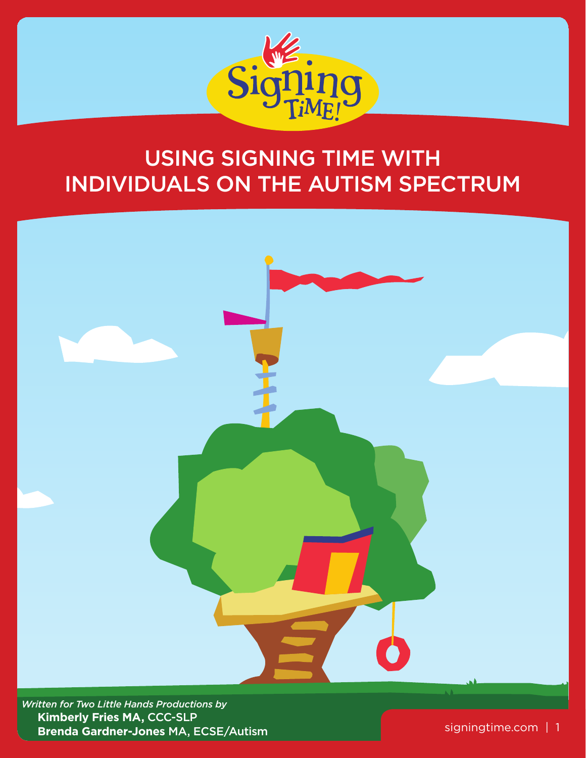

# Using Signing Time with Individuals on the Autism Spectrum



*Written for Two Little Hands Productions by*  **Kimberly Fries MA,** CCC-SLP  **Brenda Gardner-Jones** MA, ECSE/Autism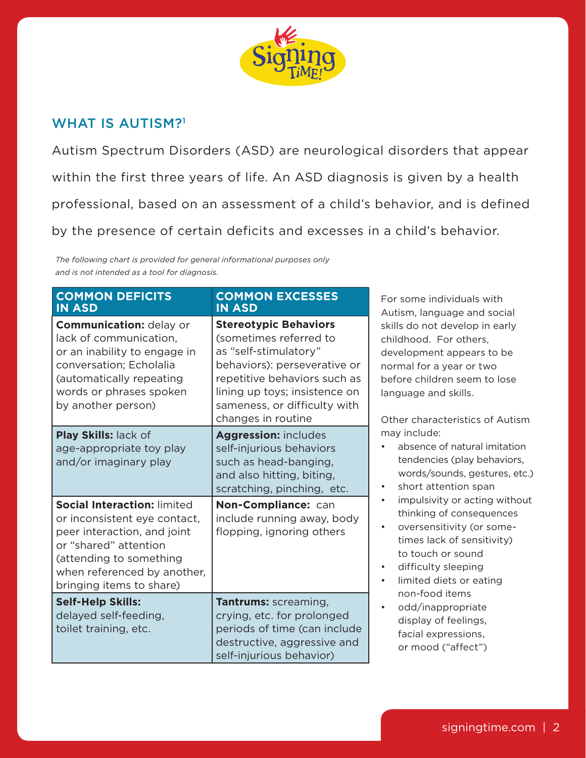

# WHAT IS AUTISM?<sup>1</sup>

Autism Spectrum Disorders (ASD) are neurological disorders that appear within the first three years of life. An ASD diagnosis is given by a health professional, based on an assessment of a child's behavior, and is defined by the presence of certain deficits and excesses in a child's behavior.

*The following chart is provided for general informational purposes only and is not intended as a tool for diagnosis.*

| <b>COMMON DEFICITS</b><br><b>IN ASD</b>                                                                                                                                                                          | <b>COMMON EXCESSES</b><br><b>IN ASD</b>                                                                                                                                                                                                | For some individuals with<br>Autism, language and social                                                                                                                                                                                                                                                                                                                                                               |
|------------------------------------------------------------------------------------------------------------------------------------------------------------------------------------------------------------------|----------------------------------------------------------------------------------------------------------------------------------------------------------------------------------------------------------------------------------------|------------------------------------------------------------------------------------------------------------------------------------------------------------------------------------------------------------------------------------------------------------------------------------------------------------------------------------------------------------------------------------------------------------------------|
| <b>Communication: delay or</b><br>lack of communication,<br>or an inability to engage in<br>conversation; Echolalia<br>(automatically repeating<br>words or phrases spoken<br>by another person)                 | <b>Stereotypic Behaviors</b><br>(sometimes referred to<br>as "self-stimulatory"<br>behaviors): perseverative or<br>repetitive behaviors such as<br>lining up toys; insistence on<br>sameness, or difficulty with<br>changes in routine | skills do not develop in early<br>childhood. For others,<br>development appears to be<br>normal for a year or two<br>before children seem to lose<br>language and skills.<br>Other characteristics of Autism                                                                                                                                                                                                           |
| Play Skills: lack of<br>age-appropriate toy play<br>and/or imaginary play                                                                                                                                        | <b>Aggression: includes</b><br>self-injurious behaviors<br>such as head-banging,<br>and also hitting, biting,<br>scratching, pinching, etc.                                                                                            | may include:<br>absence of natural imitation<br>tendencies (play behaviors,<br>words/sounds, gestures, etc.)<br>short attention span<br>$\bullet$<br>impulsivity or acting without<br>$\bullet$<br>thinking of consequences<br>oversensitivity (or some-<br>$\bullet$<br>times lack of sensitivity)<br>to touch or sound<br>difficulty sleeping<br>$\bullet$<br>limited diets or eating<br>$\bullet$<br>non-food items |
| <b>Social Interaction: limited</b><br>or inconsistent eye contact,<br>peer interaction, and joint<br>or "shared" attention<br>(attending to something<br>when referenced by another,<br>bringing items to share) | Non-Compliance: can<br>include running away, body<br>flopping, ignoring others                                                                                                                                                         |                                                                                                                                                                                                                                                                                                                                                                                                                        |
| <b>Self-Help Skills:</b><br>delayed self-feeding,<br>toilet training, etc.                                                                                                                                       | <b>Tantrums:</b> screaming,<br>crying, etc. for prolonged<br>periods of time (can include<br>destructive, aggressive and<br>self-injurious behavior)                                                                                   | odd/inappropriate<br>$\bullet$<br>display of feelings,<br>facial expressions,<br>or mood ("affect")                                                                                                                                                                                                                                                                                                                    |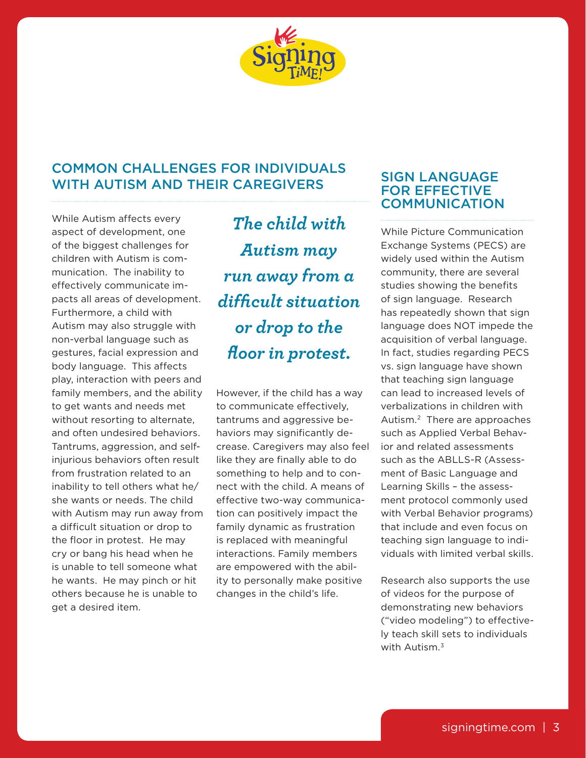

# Common Challenges for Individuals with Autism and Their Caregivers

While Autism affects every aspect of development, one of the biggest challenges for children with Autism is communication. The inability to effectively communicate impacts all areas of development. Furthermore, a child with Autism may also struggle with non-verbal language such as gestures, facial expression and body language. This affects play, interaction with peers and family members, and the ability to get wants and needs met without resorting to alternate. and often undesired behaviors. Tantrums, aggression, and selfinjurious behaviors often result from frustration related to an inability to tell others what he/ she wants or needs. The child with Autism may run away from a difficult situation or drop to the floor in protest. He may cry or bang his head when he is unable to tell someone what he wants. He may pinch or hit others because he is unable to get a desired item.

*The child with Autism may run away from a difficult situation or drop to the floor in protest.* 

However, if the child has a way to communicate effectively, tantrums and aggressive behaviors may significantly decrease. Caregivers may also feel like they are finally able to do something to help and to connect with the child. A means of effective two-way communication can positively impact the family dynamic as frustration is replaced with meaningful interactions. Family members are empowered with the ability to personally make positive changes in the child's life.

# Sign Language for Effective **COMMUNICATION**

While Picture Communication Exchange Systems (PECS) are widely used within the Autism community, there are several studies showing the benefits of sign language. Research has repeatedly shown that sign language does NOT impede the acquisition of verbal language. In fact, studies regarding PECS vs. sign language have shown that teaching sign language can lead to increased levels of verbalizations in children with Autism.2 There are approaches such as Applied Verbal Behavior and related assessments such as the ABLLS-R (Assessment of Basic Language and Learning Skills – the assessment protocol commonly used with Verbal Behavior programs) that include and even focus on teaching sign language to individuals with limited verbal skills.

Research also supports the use of videos for the purpose of demonstrating new behaviors ("video modeling") to effectively teach skill sets to individuals with Autism.<sup>3</sup>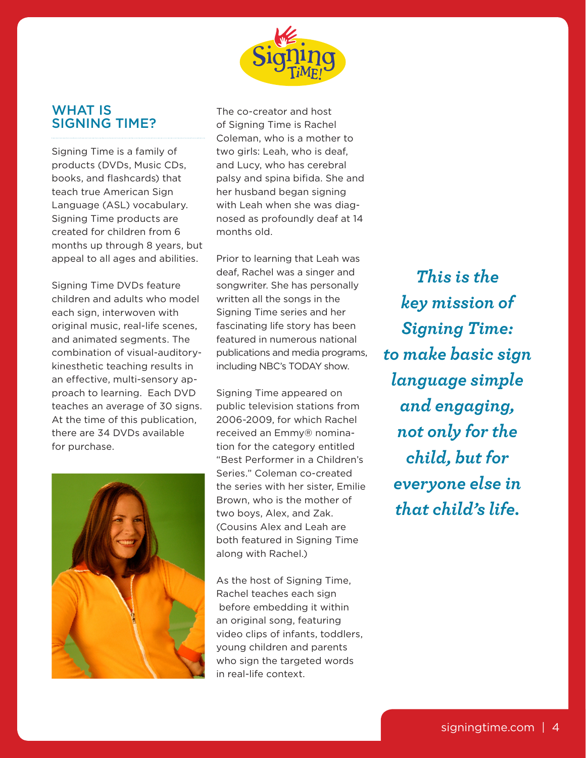

## WHAT IS Signing Time?

Signing Time is a family of products (DVDs, Music CDs, books, and flashcards) that teach true American Sign Language (ASL) vocabulary. Signing Time products are created for children from 6 months up through 8 years, but appeal to all ages and abilities.

Signing Time DVDs feature children and adults who model each sign, interwoven with original music, real-life scenes, and animated segments. The combination of visual-auditorykinesthetic teaching results in an effective, multi-sensory approach to learning. Each DVD teaches an average of 30 signs. At the time of this publication, there are 34 DVDs available for purchase.



The co-creator and host of Signing Time is Rachel Coleman, who is a mother to two girls: Leah, who is deaf, and Lucy, who has cerebral palsy and spina bifida. She and her husband began signing with Leah when she was diagnosed as profoundly deaf at 14 months old.

Prior to learning that Leah was deaf, Rachel was a singer and songwriter. She has personally written all the songs in the Signing Time series and her fascinating life story has been featured in numerous national publications and media programs, including NBC's TODAY show.

Signing Time appeared on public television stations from 2006-2009, for which Rachel received an Emmy® nomination for the category entitled "Best Performer in a Children's Series." Coleman co-created the series with her sister, Emilie Brown, who is the mother of two boys, Alex, and Zak. (Cousins Alex and Leah are both featured in Signing Time along with Rachel.)

As the host of Signing Time, Rachel teaches each sign before embedding it within an original song, featuring video clips of infants, toddlers, young children and parents who sign the targeted words in real-life context.

*This is the key mission of Signing Time: to make basic sign language simple and engaging, not only for the child, but for everyone else in that child's life.*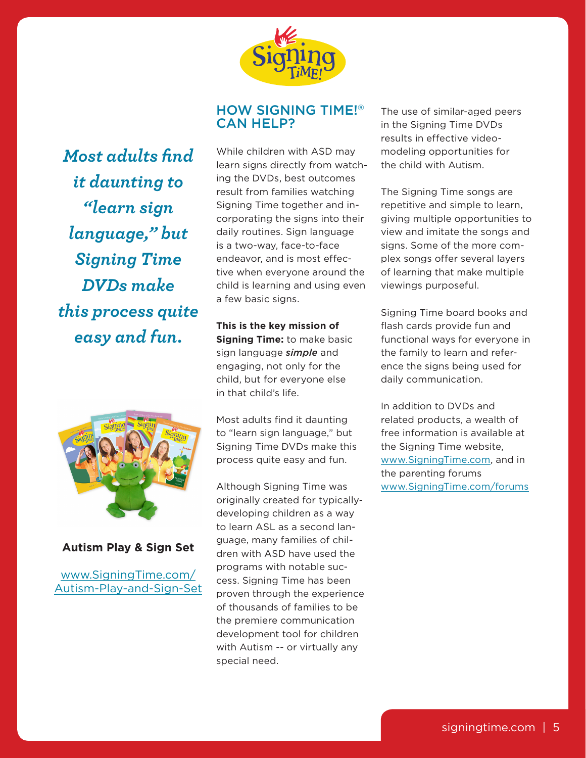

# How Signing Time!® Can Help?

*Most adults find it daunting to "learn sign language," but Signing Time DVDs make this process quite easy and fun.*



**Autism Play & Sign Set**

www.SigningTime.com/ Autism-Play-and-Sign-Set While children with ASD may learn signs directly from watching the DVDs, best outcomes result from families watching Signing Time together and incorporating the signs into their daily routines. Sign language is a two-way, face-to-face endeavor, and is most effective when everyone around the child is learning and using even a few basic signs.

**This is the key mission of Signing Time:** to make basic sign language *simple* and engaging, not only for the child, but for everyone else in that child's life.

Most adults find it daunting to "learn sign language," but Signing Time DVDs make this process quite easy and fun.

Although Signing Time was originally created for typicallydeveloping children as a way to learn ASL as a second language, many families of children with ASD have used the programs with notable success. Signing Time has been proven through the experience of thousands of families to be the premiere communication development tool for children with Autism -- or virtually any special need.

The use of similar-aged peers in the Signing Time DVDs results in effective videomodeling opportunities for the child with Autism.

The Signing Time songs are repetitive and simple to learn, giving multiple opportunities to view and imitate the songs and signs. Some of the more complex songs offer several layers of learning that make multiple viewings purposeful.

Signing Time board books and flash cards provide fun and functional ways for everyone in the family to learn and reference the signs being used for daily communication.

In addition to DVDs and related products, a wealth of free information is available at the Signing Time website, www.SigningTime.com, and in the parenting forums www.SigningTime.com/forums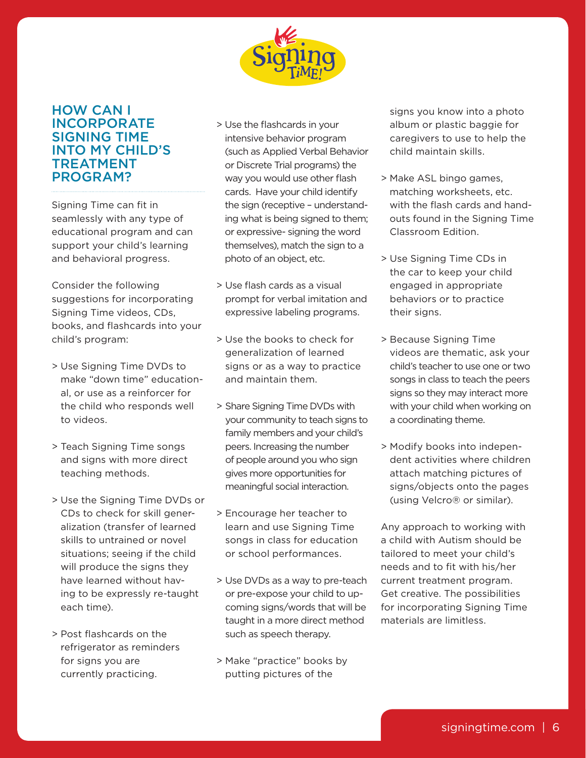

## How can I **INCORPORATE** Signing Time into my child's **TREATMENT** program?

Signing Time can fit in seamlessly with any type of educational program and can support your child's learning and behavioral progress.

Consider the following suggestions for incorporating Signing Time videos, CDs, books, and flashcards into your child's program:

- > Use Signing Time DVDs to make "down time" educational, or use as a reinforcer for the child who responds well to videos.
- > Teach Signing Time songs and signs with more direct teaching methods.
- > Use the Signing Time DVDs or CDs to check for skill generalization (transfer of learned skills to untrained or novel situations; seeing if the child will produce the signs they have learned without having to be expressly re-taught each time).
- > Post flashcards on the refrigerator as reminders for signs you are currently practicing.
- > Use the flashcards in your intensive behavior program (such as Applied Verbal Behavior or Discrete Trial programs) the way you would use other flash cards. Have your child identify the sign (receptive – understanding what is being signed to them; or expressive- signing the word themselves), match the sign to a photo of an object, etc.
- > Use flash cards as a visual prompt for verbal imitation and expressive labeling programs.
- > Use the books to check for generalization of learned signs or as a way to practice and maintain them.
- > Share Signing Time DVDs with your community to teach signs to family members and your child's peers. Increasing the number of people around you who sign gives more opportunities for meaningful social interaction.
- > Encourage her teacher to learn and use Signing Time songs in class for education or school performances.
- > Use DVDs as a way to pre-teach or pre-expose your child to upcoming signs/words that will be taught in a more direct method such as speech therapy.
- > Make "practice" books by putting pictures of the

signs you know into a photo album or plastic baggie for caregivers to use to help the child maintain skills.

- > Make ASL bingo games, matching worksheets, etc. with the flash cards and handouts found in the Signing Time Classroom Edition.
- > Use Signing Time CDs in the car to keep your child engaged in appropriate behaviors or to practice their signs.
- > Because Signing Time videos are thematic, ask your child's teacher to use one or two songs in class to teach the peers signs so they may interact more with your child when working on a coordinating theme.
- > Modify books into independent activities where children attach matching pictures of signs/objects onto the pages (using Velcro® or similar).

Any approach to working with a child with Autism should be tailored to meet your child's needs and to fit with his/her current treatment program. Get creative. The possibilities for incorporating Signing Time materials are limitless.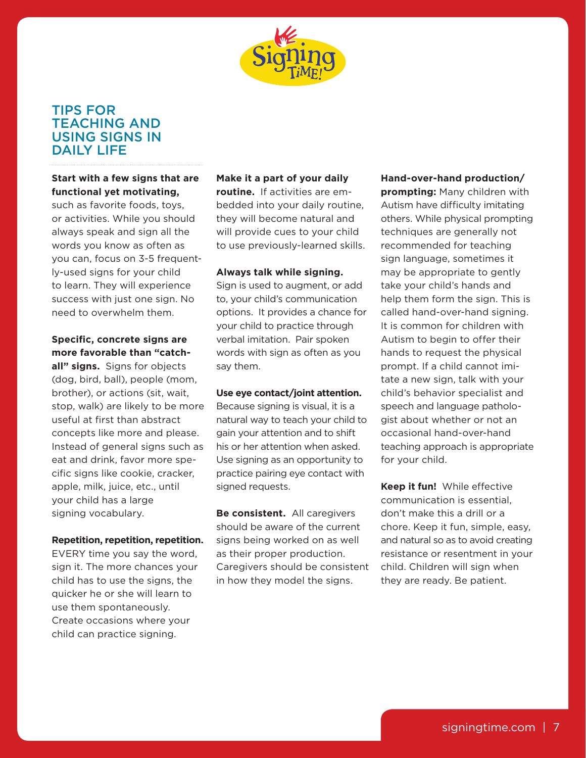

# Tips for **TEACHING AND** Using Signs in DAILY LIFE

**Start with a few signs that are functional yet motivating,**

such as favorite foods, toys, or activities. While you should always speak and sign all the words you know as often as you can, focus on 3-5 frequently-used signs for your child to learn. They will experience success with just one sign. No need to overwhelm them.

### **Specific, concrete signs are more favorable than "catch-**

**all" signs.** Signs for objects (dog, bird, ball), people (mom, brother), or actions (sit, wait, stop, walk) are likely to be more useful at first than abstract concepts like more and please. Instead of general signs such as eat and drink, favor more specific signs like cookie, cracker, apple, milk, juice, etc., until your child has a large signing vocabulary.

#### **Repetition, repetition, repetition.**

EVERY time you say the word, sign it. The more chances your child has to use the signs, the quicker he or she will learn to use them spontaneously. Create occasions where your child can practice signing.

#### **Make it a part of your daily**

**routine.** If activities are embedded into your daily routine, they will become natural and will provide cues to your child to use previously-learned skills.

#### **Always talk while signing.**

Sign is used to augment, or add to, your child's communication options. It provides a chance for your child to practice through verbal imitation. Pair spoken words with sign as often as you say them.

#### **Use eye contact/joint attention.**

Because signing is visual, it is a natural way to teach your child to gain your attention and to shift his or her attention when asked. Use signing as an opportunity to practice pairing eye contact with signed requests.

**Be consistent.** All caregivers should be aware of the current signs being worked on as well as their proper production. Caregivers should be consistent in how they model the signs.

**Hand-over-hand production/ prompting:** Many children with Autism have difficulty imitating others. While physical prompting techniques are generally not recommended for teaching sign language, sometimes it may be appropriate to gently take your child's hands and help them form the sign. This is called hand-over-hand signing. It is common for children with Autism to begin to offer their hands to request the physical prompt. If a child cannot imitate a new sign, talk with your child's behavior specialist and speech and language pathologist about whether or not an occasional hand-over-hand teaching approach is appropriate for your child.

**Keep it fun!** While effective communication is essential, don't make this a drill or a chore. Keep it fun, simple, easy, and natural so as to avoid creating resistance or resentment in your child. Children will sign when they are ready. Be patient.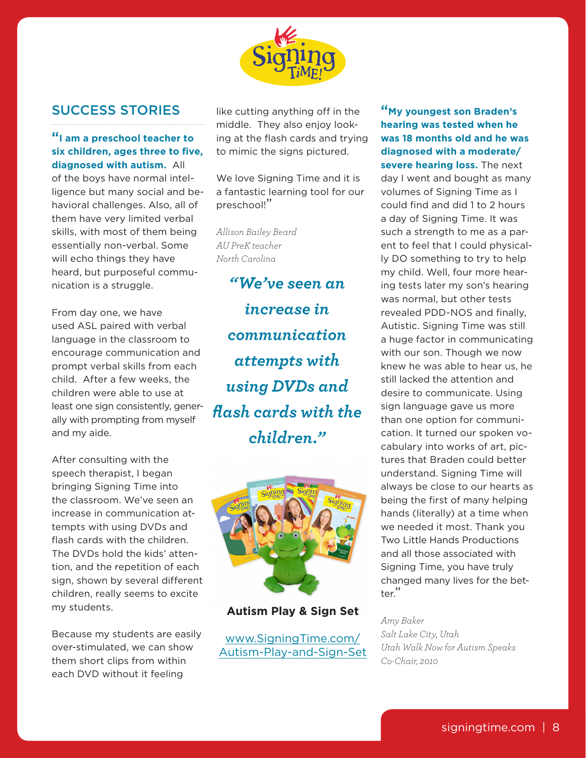

# Success Stories

### **"I am a preschool teacher to six children, ages three to five, diagnosed with autism.** All of the boys have normal intelligence but many social and behavioral challenges. Also, all of them have very limited verbal skills, with most of them being essentially non-verbal. Some will echo things they have heard, but purposeful commu-

From day one, we have used ASL paired with verbal language in the classroom to encourage communication and prompt verbal skills from each child. After a few weeks, the children were able to use at least one sign consistently, generally with prompting from myself and my aide.

nication is a struggle.

After consulting with the speech therapist, I began bringing Signing Time into the classroom. We've seen an increase in communication attempts with using DVDs and flash cards with the children. The DVDs hold the kids' attention, and the repetition of each sign, shown by several different children, really seems to excite my students.

Because my students are easily over-stimulated, we can show them short clips from within each DVD without it feeling

like cutting anything off in the middle. They also enjoy looking at the flash cards and trying to mimic the signs pictured.

We love Signing Time and it is a fantastic learning tool for our preschool!"

*Allison Bailey Beard AU PreK teacher North Carolina*

*"We've seen an increase in communication attempts with using DVDs and flash cards with the children."*



**Autism Play & Sign Set**

www.SigningTime.com/ Autism-Play-and-Sign-Set

**"My youngest son Braden's hearing was tested when he was 18 months old and he was diagnosed with a moderate/ severe hearing loss.** The next day I went and bought as many volumes of Signing Time as I could find and did 1 to 2 hours a day of Signing Time. It was such a strength to me as a parent to feel that I could physically DO something to try to help my child. Well, four more hearing tests later my son's hearing was normal, but other tests revealed PDD-NOS and finally, Autistic. Signing Time was still a huge factor in communicating with our son. Though we now knew he was able to hear us, he still lacked the attention and desire to communicate. Using sign language gave us more than one option for communication. It turned our spoken vocabulary into works of art, pictures that Braden could better understand. Signing Time will always be close to our hearts as being the first of many helping hands (literally) at a time when we needed it most. Thank you Two Little Hands Productions and all those associated with Signing Time, you have truly changed many lives for the better."

*Amy Baker Salt Lake City, Utah Utah Walk Now for Autism Speaks Co-Chair, 2010*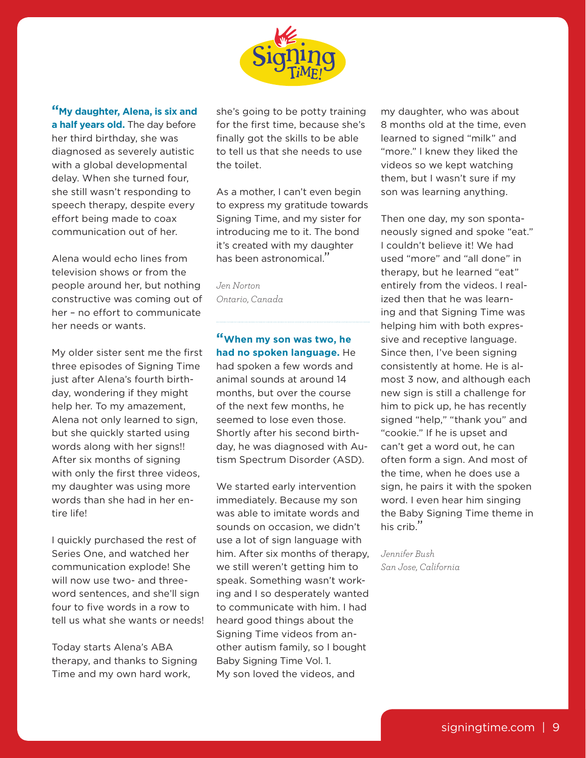

**"My daughter, Alena, is six and a half years old.** The day before her third birthday, she was diagnosed as severely autistic with a global developmental delay. When she turned four, she still wasn't responding to speech therapy, despite every effort being made to coax communication out of her.

Alena would echo lines from television shows or from the people around her, but nothing constructive was coming out of her – no effort to communicate her needs or wants.

My older sister sent me the first three episodes of Signing Time just after Alena's fourth birthday, wondering if they might help her. To my amazement, Alena not only learned to sign, but she quickly started using words along with her signs!! After six months of signing with only the first three videos, my daughter was using more words than she had in her entire life!

I quickly purchased the rest of Series One, and watched her communication explode! She will now use two- and threeword sentences, and she'll sign four to five words in a row to tell us what she wants or needs!

Today starts Alena's ABA therapy, and thanks to Signing Time and my own hard work,

she's going to be potty training for the first time, because she's finally got the skills to be able to tell us that she needs to use the toilet.

As a mother, I can't even begin to express my gratitude towards Signing Time, and my sister for introducing me to it. The bond it's created with my daughter has been astronomical."

*Jen Norton Ontario, Canada*

**"When my son was two, he had no spoken language.** He had spoken a few words and animal sounds at around 14 months, but over the course of the next few months, he seemed to lose even those. Shortly after his second birthday, he was diagnosed with Autism Spectrum Disorder (ASD).

We started early intervention immediately. Because my son was able to imitate words and sounds on occasion, we didn't use a lot of sign language with him. After six months of therapy, we still weren't getting him to speak. Something wasn't working and I so desperately wanted to communicate with him. I had heard good things about the Signing Time videos from another autism family, so I bought Baby Signing Time Vol. 1. My son loved the videos, and

my daughter, who was about 8 months old at the time, even learned to signed "milk" and "more." I knew they liked the videos so we kept watching them, but I wasn't sure if my son was learning anything.

Then one day, my son spontaneously signed and spoke "eat." I couldn't believe it! We had used "more" and "all done" in therapy, but he learned "eat" entirely from the videos. I realized then that he was learning and that Signing Time was helping him with both expressive and receptive language. Since then, I've been signing consistently at home. He is almost 3 now, and although each new sign is still a challenge for him to pick up, he has recently signed "help," "thank you" and "cookie." If he is upset and can't get a word out, he can often form a sign. And most of the time, when he does use a sign, he pairs it with the spoken word. I even hear him singing the Baby Signing Time theme in his crib."

*Jennifer Bush San Jose, California*